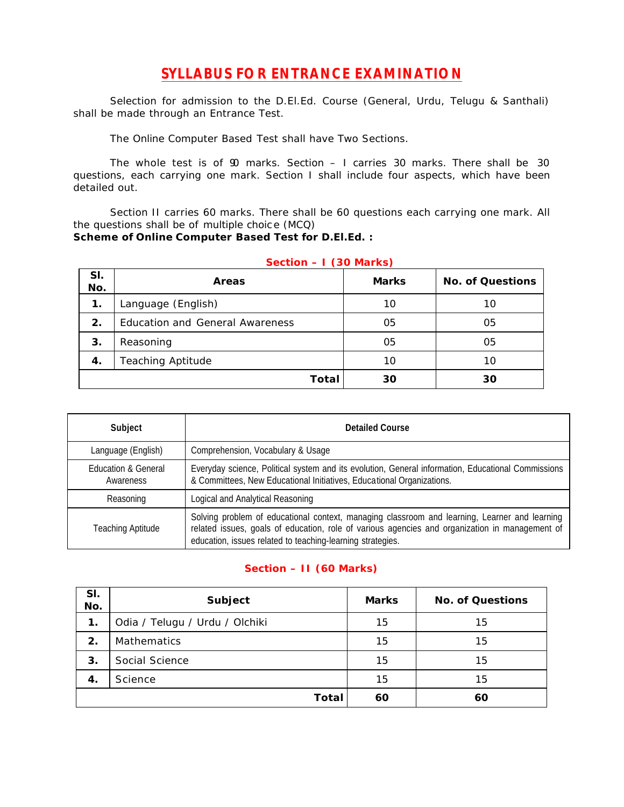## **SYLLABUS FOR ENTRANCE EXAMINATION**

Selection for admission to the D.El.Ed. Course (General, Urdu, Telugu & Santhali) shall be made through an Entrance Test.

The Online Computer Based Test shall have Two Sections.

The whole test is of  $\mathfrak V$  marks. Section  $-$  I carries 30 marks. There shall be 30 questions, each carrying one mark. Section I shall include four aspects, which have been detailed out.

Section II carries 60 marks. There shall be 60 questions each carrying one mark. All the questions shall be of multiple choic e (MCQ) **Scheme of Online Computer Based Test for D.El.Ed. :**

| SI.<br>No.    | <b>Areas</b>                    | <b>Marks</b> | <b>No. of Questions</b> |
|---------------|---------------------------------|--------------|-------------------------|
| $\mathbf 1$ . | Language (English)              | 10           | 10                      |
| 2.            | Education and General Awareness | 05           | 05                      |
| 3.            | Reasoning                       | 05           | 05                      |
| 4.            | <b>Teaching Aptitude</b>        | 10           | 10                      |
|               | Total                           | 30           | 30                      |

## **Section – I (30 Marks)**

| Subject                                     | <b>Detailed Course</b>                                                                                                                                                                                                                                        |
|---------------------------------------------|---------------------------------------------------------------------------------------------------------------------------------------------------------------------------------------------------------------------------------------------------------------|
| Language (English)                          | Comprehension, Vocabulary & Usage                                                                                                                                                                                                                             |
| <b>Education &amp; General</b><br>Awareness | Everyday science, Political system and its evolution, General information, Educational Commissions<br>& Committees, New Educational Initiatives, Educational Organizations.                                                                                   |
| Reasoning                                   | Logical and Analytical Reasoning                                                                                                                                                                                                                              |
| <b>Teaching Aptitude</b>                    | Solving problem of educational context, managing classroom and learning, Learner and learning<br>related issues, goals of education, role of various agencies and organization in management of<br>education, issues related to teaching-learning strategies. |

## **Section – II (60 Marks)**

| SI.<br>No. | Subject                        | <b>Marks</b> | <b>No. of Questions</b> |
|------------|--------------------------------|--------------|-------------------------|
| 1.         | Odia / Telugu / Urdu / Olchiki | 15           | 15                      |
| 2.         | Mathematics                    | 15           | 15                      |
| 3.         | Social Science                 | 15           | 15                      |
| 4.         | Science                        | 15           | 15                      |
|            | Total                          | 60           | 60                      |